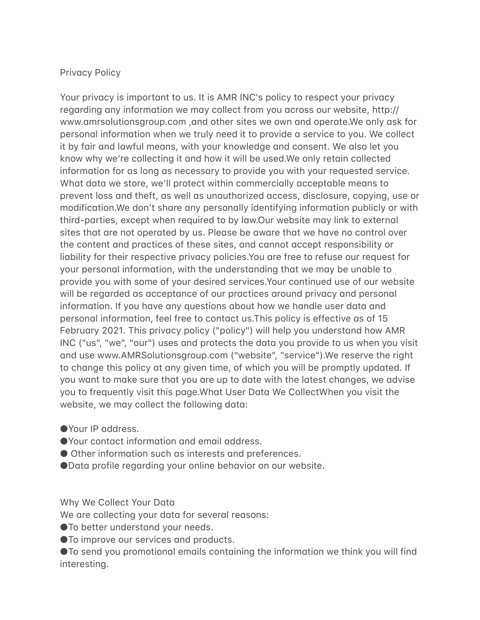## Privacy Policy

Your privacy is important to us. It is AMR INC's policy to respect your privacy regarding any information we may collect from you across our website, http:// www.amrsolutionsgroup.com , and other sites we own and operate.We only ask for personal information when we truly need it to provide a service to you. We collect it by fair and lawful means, with your knowledge and consent. We also let you know why we're collecting it and how it will be used.We only retain collected information for as long as necessary to provide you with your requested service. What data we store, we'll protect within commercially acceptable means to prevent loss and theft, as well as unauthorized access, disclosure, copying, use or modification. We don't share any personally identifying information publicly or with third-parties, except when required to by law.Our website may link to external sites that are not operated by us. Please be aware that we have no control over the content and practices of these sites, and cannot accept responsibility or liability for their respective privacy policies.You are free to refuse our request for your personal information, with the understanding that we may be unable to provide you with some of your desired services.Your continued use of our website will be regarded as acceptance of our practices around privacy and personal information. If you have any questions about how we handle user data and personal information, feel free to contact us.This policy is effective as of 15 February 2021. This privacy policy ("policy") will help you understand how AMR INC ("us", "we", "our") uses and protects the data you provide to us when you visit and use www.AMRSolutionsgroup.com ("website", "service").We reserve the right to change this policy at any given time, of which you will be promptly updated. If you want to make sure that you are up to date with the latest changes, we advise you to frequently visit this page. What User Data We Collect When you visit the website, we may collect the following data:

- ●Your IP address.
- Your contact information and email address.
- Other information such as interests and preferences.
- Data profile regarding your online behavior on our website.

Why We Collect Your Data

We are collecting your data for several reasons:

● To better understand your needs.

● To improve our services and products.

 $\bullet$  To send you promotional emails containing the information we think you will find interesting.